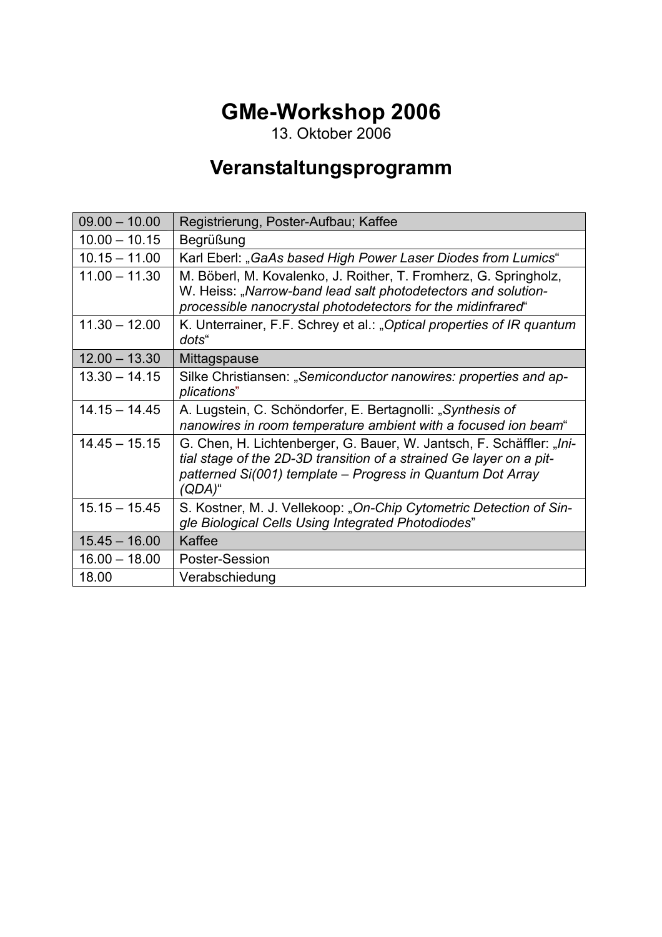# **GMe-Workshop 2006**

13. Oktober 2006

# **Veranstaltungsprogramm**

| $09.00 - 10.00$ | Registrierung, Poster-Aufbau; Kaffee                                                                                                                                                                                |
|-----------------|---------------------------------------------------------------------------------------------------------------------------------------------------------------------------------------------------------------------|
| $10.00 - 10.15$ | Begrüßung                                                                                                                                                                                                           |
| $10.15 - 11.00$ | Karl Eberl: "GaAs based High Power Laser Diodes from Lumics"                                                                                                                                                        |
| $11.00 - 11.30$ | M. Böberl, M. Kovalenko, J. Roither, T. Fromherz, G. Springholz,<br>W. Heiss: "Narrow-band lead salt photodetectors and solution-<br>processible nanocrystal photodetectors for the midinfrared"                    |
| $11.30 - 12.00$ | K. Unterrainer, F.F. Schrey et al.: "Optical properties of IR quantum<br>dots"                                                                                                                                      |
| $12.00 - 13.30$ | Mittagspause                                                                                                                                                                                                        |
| $13.30 - 14.15$ | Silke Christiansen: "Semiconductor nanowires: properties and ap-<br>plications"                                                                                                                                     |
| $14.15 - 14.45$ | A. Lugstein, C. Schöndorfer, E. Bertagnolli: "Synthesis of<br>nanowires in room temperature ambient with a focused ion beam"                                                                                        |
| $14.45 - 15.15$ | G. Chen, H. Lichtenberger, G. Bauer, W. Jantsch, F. Schäffler: "Ini-<br>tial stage of the 2D-3D transition of a strained Ge layer on a pit-<br>patterned Si(001) template - Progress in Quantum Dot Array<br>(QDA)" |
| $15.15 - 15.45$ | S. Kostner, M. J. Vellekoop: "On-Chip Cytometric Detection of Sin-<br>gle Biological Cells Using Integrated Photodiodes"                                                                                            |
| $15.45 - 16.00$ | Kaffee                                                                                                                                                                                                              |
| $16.00 - 18.00$ | Poster-Session                                                                                                                                                                                                      |
| 18.00           | Verabschiedung                                                                                                                                                                                                      |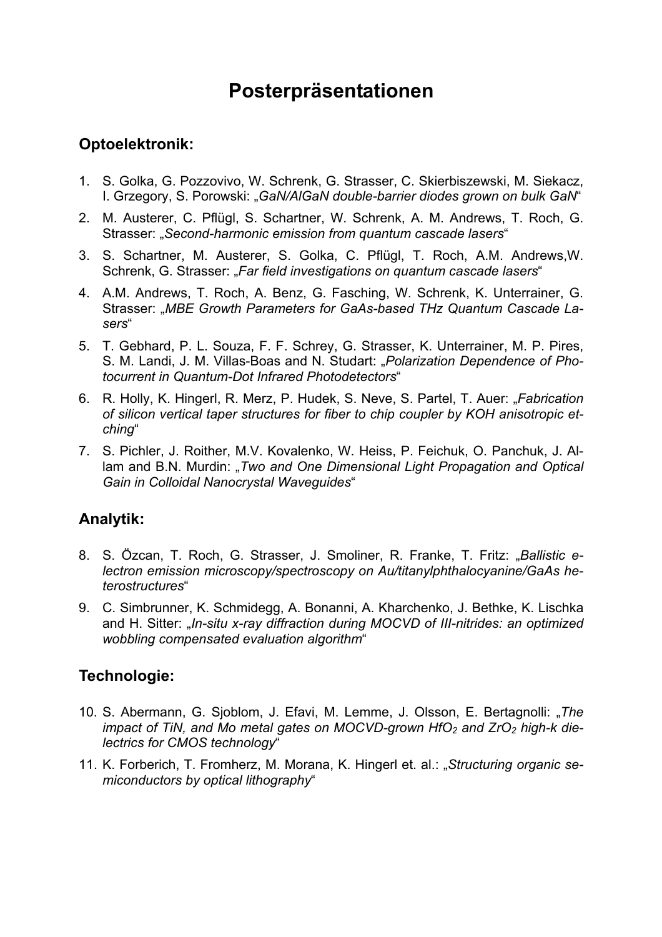## **Posterpräsentationen**

### **Optoelektronik:**

- 1. S. Golka, G. Pozzovivo, W. Schrenk, G. Strasser, C. Skierbiszewski, M. Siekacz, I. Grzegory, S. Porowski: "*GaN/AlGaN double-barrier diodes grown on bulk GaN*"
- 2. M. Austerer, C. Pflügl, S. Schartner, W. Schrenk, A. M. Andrews, T. Roch, G. Strasser: "Second-harmonic emission from quantum cascade lasers"
- 3. S. Schartner, M. Austerer, S. Golka, C. Pflügl, T. Roch, A.M. Andrews,W. Schrenk, G. Strasser: "Far field investigations on quantum cascade lasers"
- 4. A.M. Andrews, T. Roch, A. Benz, G. Fasching, W. Schrenk, K. Unterrainer, G. Strasser: "MBE Growth Parameters for GaAs-based THz Quantum Cascade La*sers*"
- 5. T. Gebhard, P. L. Souza, F. F. Schrey, G. Strasser, K. Unterrainer, M. P. Pires, S. M. Landi, J. M. Villas-Boas and N. Studart: "*Polarization Dependence of Photocurrent in Quantum-Dot Infrared Photodetectors*"
- 6. R. Holly, K. Hingerl, R. Merz, P. Hudek, S. Neve, S. Partel, T. Auer: "*Fabrication of silicon vertical taper structures for fiber to chip coupler by KOH anisotropic etching*"
- 7. S. Pichler, J. Roither, M.V. Kovalenko, W. Heiss, P. Feichuk, O. Panchuk, J. Allam and B.N. Murdin: "*Two and One Dimensional Light Propagation and Optical Gain in Colloidal Nanocrystal Waveguides*"

### **Analytik:**

- 8. S. Özcan, T. Roch, G. Strasser, J. Smoliner, R. Franke, T. Fritz: "*Ballistic electron emission microscopy/spectroscopy on Au/titanylphthalocyanine/GaAs heterostructures*"
- 9. C. Simbrunner, K. Schmidegg, A. Bonanni, A. Kharchenko, J. Bethke, K. Lischka and H. Sitter: *"In-situ x-ray diffraction during MOCVD of III-nitrides: an optimized wobbling compensated evaluation algorithm*"

### **Technologie:**

- 10. S. Abermann, G. Sjoblom, J. Efavi, M. Lemme, J. Olsson, E. Bertagnolli: "*The impact of TiN, and Mo metal gates on MOCVD-grown HfO<sub>2</sub> and ZrO<sub>2</sub> high-k dielectrics for CMOS technology*"
- 11. K. Forberich, T. Fromherz, M. Morana, K. Hingerl et. al.: "*Structuring organic semiconductors by optical lithography*"